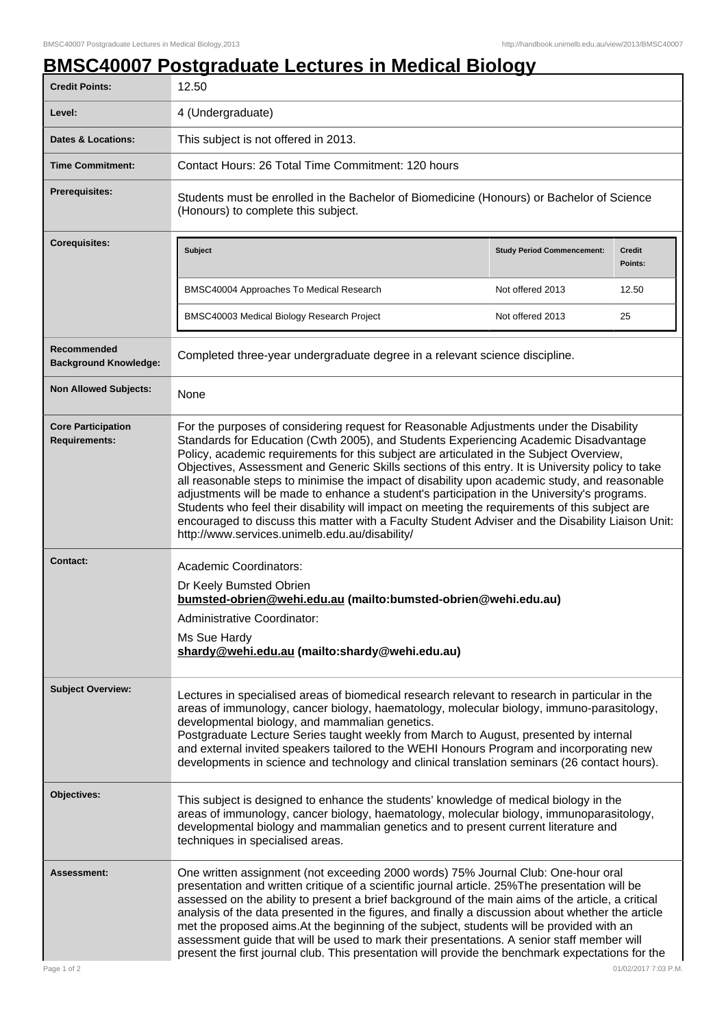## **BMSC40007 Postgraduate Lectures in Medical Biology**

| <b>Credit Points:</b>                             | <u>ootgraaddto</u><br>12.50                                                                                                                                                                                                                                                                                                                                                                                                                                                                                                                                                                                                                                                                                                                                                                                                              |                          |  |
|---------------------------------------------------|------------------------------------------------------------------------------------------------------------------------------------------------------------------------------------------------------------------------------------------------------------------------------------------------------------------------------------------------------------------------------------------------------------------------------------------------------------------------------------------------------------------------------------------------------------------------------------------------------------------------------------------------------------------------------------------------------------------------------------------------------------------------------------------------------------------------------------------|--------------------------|--|
| Level:                                            | 4 (Undergraduate)                                                                                                                                                                                                                                                                                                                                                                                                                                                                                                                                                                                                                                                                                                                                                                                                                        |                          |  |
| <b>Dates &amp; Locations:</b>                     | This subject is not offered in 2013.                                                                                                                                                                                                                                                                                                                                                                                                                                                                                                                                                                                                                                                                                                                                                                                                     |                          |  |
| <b>Time Commitment:</b>                           | Contact Hours: 26 Total Time Commitment: 120 hours                                                                                                                                                                                                                                                                                                                                                                                                                                                                                                                                                                                                                                                                                                                                                                                       |                          |  |
| <b>Prerequisites:</b>                             | Students must be enrolled in the Bachelor of Biomedicine (Honours) or Bachelor of Science<br>(Honours) to complete this subject.                                                                                                                                                                                                                                                                                                                                                                                                                                                                                                                                                                                                                                                                                                         |                          |  |
| <b>Corequisites:</b>                              | <b>Subject</b><br><b>Study Period Commencement:</b>                                                                                                                                                                                                                                                                                                                                                                                                                                                                                                                                                                                                                                                                                                                                                                                      | <b>Credit</b><br>Points: |  |
|                                                   | BMSC40004 Approaches To Medical Research<br>Not offered 2013                                                                                                                                                                                                                                                                                                                                                                                                                                                                                                                                                                                                                                                                                                                                                                             | 12.50                    |  |
|                                                   | BMSC40003 Medical Biology Research Project<br>Not offered 2013                                                                                                                                                                                                                                                                                                                                                                                                                                                                                                                                                                                                                                                                                                                                                                           | 25                       |  |
| Recommended<br><b>Background Knowledge:</b>       | Completed three-year undergraduate degree in a relevant science discipline.                                                                                                                                                                                                                                                                                                                                                                                                                                                                                                                                                                                                                                                                                                                                                              |                          |  |
| <b>Non Allowed Subjects:</b>                      | None                                                                                                                                                                                                                                                                                                                                                                                                                                                                                                                                                                                                                                                                                                                                                                                                                                     |                          |  |
| <b>Core Participation</b><br><b>Requirements:</b> | For the purposes of considering request for Reasonable Adjustments under the Disability<br>Standards for Education (Cwth 2005), and Students Experiencing Academic Disadvantage<br>Policy, academic requirements for this subject are articulated in the Subject Overview,<br>Objectives, Assessment and Generic Skills sections of this entry. It is University policy to take<br>all reasonable steps to minimise the impact of disability upon academic study, and reasonable<br>adjustments will be made to enhance a student's participation in the University's programs.<br>Students who feel their disability will impact on meeting the requirements of this subject are<br>encouraged to discuss this matter with a Faculty Student Adviser and the Disability Liaison Unit:<br>http://www.services.unimelb.edu.au/disability/ |                          |  |
| Contact:                                          | Academic Coordinators:<br>Dr Keely Bumsted Obrien<br>bumsted-obrien@wehi.edu.au (mailto:bumsted-obrien@wehi.edu.au)<br>Administrative Coordinator:<br>Ms Sue Hardy<br>shardy@wehi.edu.au (mailto:shardy@wehi.edu.au)                                                                                                                                                                                                                                                                                                                                                                                                                                                                                                                                                                                                                     |                          |  |
| <b>Subject Overview:</b>                          | Lectures in specialised areas of biomedical research relevant to research in particular in the<br>areas of immunology, cancer biology, haematology, molecular biology, immuno-parasitology,<br>developmental biology, and mammalian genetics.<br>Postgraduate Lecture Series taught weekly from March to August, presented by internal<br>and external invited speakers tailored to the WEHI Honours Program and incorporating new<br>developments in science and technology and clinical translation seminars (26 contact hours).                                                                                                                                                                                                                                                                                                       |                          |  |
| Objectives:                                       | This subject is designed to enhance the students' knowledge of medical biology in the<br>areas of immunology, cancer biology, haematology, molecular biology, immunoparasitology,<br>developmental biology and mammalian genetics and to present current literature and<br>techniques in specialised areas.                                                                                                                                                                                                                                                                                                                                                                                                                                                                                                                              |                          |  |
| <b>Assessment:</b><br>Page 1 of 2                 | One written assignment (not exceeding 2000 words) 75% Journal Club: One-hour oral<br>presentation and written critique of a scientific journal article. 25%The presentation will be<br>assessed on the ability to present a brief background of the main aims of the article, a critical<br>analysis of the data presented in the figures, and finally a discussion about whether the article<br>met the proposed aims. At the beginning of the subject, students will be provided with an<br>assessment guide that will be used to mark their presentations. A senior staff member will<br>present the first journal club. This presentation will provide the benchmark expectations for the<br>01/02/2017 7:03 P.M.                                                                                                                    |                          |  |